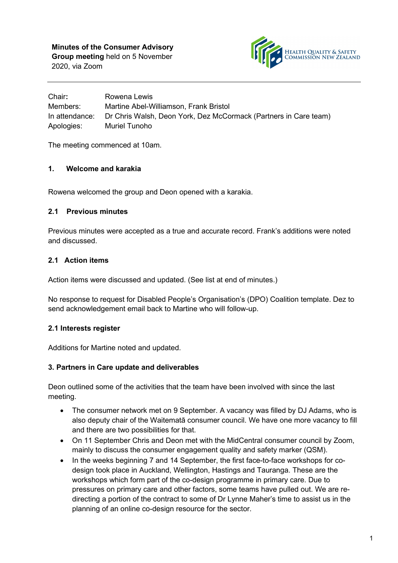

Chair**:** Rowena Lewis Members: Martine Abel-Williamson, Frank Bristol In attendance: Dr Chris Walsh, Deon York, Dez McCormack (Partners in Care team) Apologies: Muriel Tunoho

The meeting commenced at 10am.

#### **1. Welcome and karakia**

Rowena welcomed the group and Deon opened with a karakia.

#### **2.1 Previous minutes**

Previous minutes were accepted as a true and accurate record. Frank's additions were noted and discussed.

### **2.1 Action items**

Action items were discussed and updated. (See list at end of minutes.)

No response to request for Disabled People's Organisation's (DPO) Coalition template. Dez to send acknowledgement email back to Martine who will follow-up.

### **2.1 Interests register**

Additions for Martine noted and updated.

#### **3. Partners in Care update and deliverables**

Deon outlined some of the activities that the team have been involved with since the last meeting.

- The consumer network met on 9 September. A vacancy was filled by DJ Adams, who is also deputy chair of the Waitematā consumer council. We have one more vacancy to fill and there are two possibilities for that.
- On 11 September Chris and Deon met with the MidCentral consumer council by Zoom, mainly to discuss the consumer engagement quality and safety marker (QSM).
- In the weeks beginning 7 and 14 September, the first face-to-face workshops for codesign took place in Auckland, Wellington, Hastings and Tauranga. These are the workshops which form part of the co-design programme in primary care. Due to pressures on primary care and other factors, some teams have pulled out. We are redirecting a portion of the contract to some of Dr Lynne Maher's time to assist us in the planning of an online co-design resource for the sector.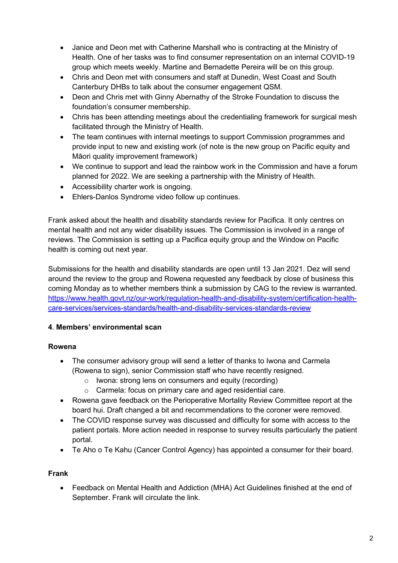- Janice and Deon met with Catherine Marshall who is contracting at the Ministry of Health. One of her tasks was to find consumer representation on an internal COVID-19 group which meets weekly. Martine and Bernadette Pereira will be on this group.
- Chris and Deon met with consumers and staff at Dunedin, West Coast and South Canterbury DHBs to talk about the consumer engagement QSM.
- Deon and Chris met with Ginny Abernathy of the Stroke Foundation to discuss the foundation's consumer membership.
- Chris has been attending meetings about the credentialing framework for surgical mesh facilitated through the Ministry of Health.
- The team continues with internal meetings to support Commission programmes and provide input to new and existing work (of note is the new group on Pacific equity and Māori quality improvement framework)
- We continue to support and lead the rainbow work in the Commission and have a forum planned for 2022. We are seeking a partnership with the Ministry of Health.
- Accessibility charter work is ongoing.
- Ehlers-Danlos Syndrome video follow up continues.

Frank asked about the health and disability standards review for Pacifica. It only centres on mental health and not any wider disability issues. The Commission is involved in a range of reviews. The Commission is setting up a Pacifica equity group and the Window on Pacific health is coming out next year.

Submissions for the health and disability standards are open until 13 Jan 2021. Dez will send around the review to the group and Rowena requested any feedback by close of business this coming Monday as to whether members think a submission by CAG to the review is warranted. [https://www.health.govt.nz/our-work/regulation-health-and-disability-system/certification-health](https://aus01.safelinks.protection.outlook.com/?url=https%3A%2F%2Fwww.health.govt.nz%2Four-work%2Fregulation-health-and-disability-system%2Fcertification-health-care-services%2Fservices-standards%2Fhealth-and-disability-services-standards-review&data=04%7C01%7Cfrank%40balance.org.nz%7C5b8e39f236d24d997a9208d88049fdf7%7C6a229d796e27494c9cdea916e4e7d35c%7C0%7C0%7C637400402576138020%7CUnknown%7CTWFpbGZsb3d8eyJWIjoiMC4wLjAwMDAiLCJQIjoiV2luMzIiLCJBTiI6Ik1haWwiLCJXVCI6Mn0%3D%7C1000&sdata=iFVpH%2BnijGDmuKRIGMItpZfbUL7rT0auAPHqfm4XYBI%3D&reserved=0)[care-services/services-standards/health-and-disability-services-standards-review](https://aus01.safelinks.protection.outlook.com/?url=https%3A%2F%2Fwww.health.govt.nz%2Four-work%2Fregulation-health-and-disability-system%2Fcertification-health-care-services%2Fservices-standards%2Fhealth-and-disability-services-standards-review&data=04%7C01%7Cfrank%40balance.org.nz%7C5b8e39f236d24d997a9208d88049fdf7%7C6a229d796e27494c9cdea916e4e7d35c%7C0%7C0%7C637400402576138020%7CUnknown%7CTWFpbGZsb3d8eyJWIjoiMC4wLjAwMDAiLCJQIjoiV2luMzIiLCJBTiI6Ik1haWwiLCJXVCI6Mn0%3D%7C1000&sdata=iFVpH%2BnijGDmuKRIGMItpZfbUL7rT0auAPHqfm4XYBI%3D&reserved=0)

## **4**. **Members' environmental scan**

## **Rowena**

- The consumer advisory group will send a letter of thanks to Iwona and Carmela (Rowena to sign), senior Commission staff who have recently resigned.
	- o Iwona: strong lens on consumers and equity (recording)
	- o Carmela: focus on primary care and aged residential care.
- Rowena gave feedback on the Perioperative Mortality Review Committee report at the board hui. Draft changed a bit and recommendations to the coroner were removed.
- The COVID response survey was discussed and difficulty for some with access to the patient portals. More action needed in response to survey results particularly the patient portal.
- Te Aho o Te Kahu (Cancer Control Agency) has appointed a consumer for their board.

## **Frank**

• Feedback on Mental Health and Addiction (MHA) Act Guidelines finished at the end of September. Frank will circulate the link.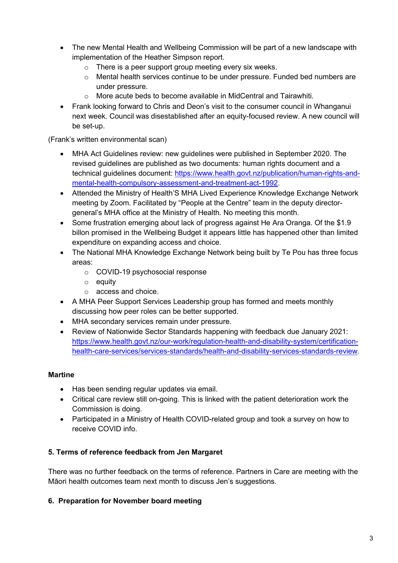- The new Mental Health and Wellbeing Commission will be part of a new landscape with implementation of the Heather Simpson report.
	- $\circ$  There is a peer support group meeting every six weeks.
	- o Mental health services continue to be under pressure. Funded bed numbers are under pressure.
	- o More acute beds to become available in MidCentral and Tairawhiti.
- Frank looking forward to Chris and Deon's visit to the consumer council in Whanganui next week. Council was disestablished after an equity-focused review. A new council will be set-up.

### (Frank's written environmental scan)

- MHA Act Guidelines review: new guidelines were published in September 2020. The revised guidelines are published as two documents: human rights document and a technical guidelines document: [https://www.health.govt.nz/publication/human-rights-and](https://www.health.govt.nz/publication/human-rights-and-mental-health-compulsory-assessment-and-treatment-act-1992)[mental-health-compulsory-assessment-and-treatment-act-1992.](https://www.health.govt.nz/publication/human-rights-and-mental-health-compulsory-assessment-and-treatment-act-1992)
- Attended the Ministry of Health'S MHA Lived Experience Knowledge Exchange Network meeting by Zoom. Facilitated by "People at the Centre" team in the deputy directorgeneral's MHA office at the Ministry of Health. No meeting this month.
- Some frustration emerging about lack of progress against He Ara Oranga. Of the \$1.9 billon promised in the Wellbeing Budget it appears little has happened other than limited expenditure on expanding access and choice.
- The National MHA Knowledge Exchange Network being built by Te Pou has three focus areas:
	- o COVID-19 psychosocial response
	- o equity
	- o access and choice.
- A MHA Peer Support Services Leadership group has formed and meets monthly discussing how peer roles can be better supported.
- MHA secondary services remain under pressure.
- Review of Nationwide Sector Standards happening with feedback due January 2021: [https://www.health.govt.nz/our-work/regulation-health-and-disability-system/certification](https://www.health.govt.nz/our-work/regulation-health-and-disability-system/certification-health-care-services/services-standards/health-and-disability-services-standards-review)[health-care-services/services-standards/health-and-disability-services-standards-review.](https://www.health.govt.nz/our-work/regulation-health-and-disability-system/certification-health-care-services/services-standards/health-and-disability-services-standards-review)

### **Martine**

- Has been sending regular updates via email.
- Critical care review still on-going. This is linked with the patient deterioration work the Commission is doing.
- Participated in a Ministry of Health COVID-related group and took a survey on how to receive COVID info.

## **5. Terms of reference feedback from Jen Margaret**

There was no further feedback on the terms of reference. Partners in Care are meeting with the Māori health outcomes team next month to discuss Jen's suggestions.

## **6. Preparation for November board meeting**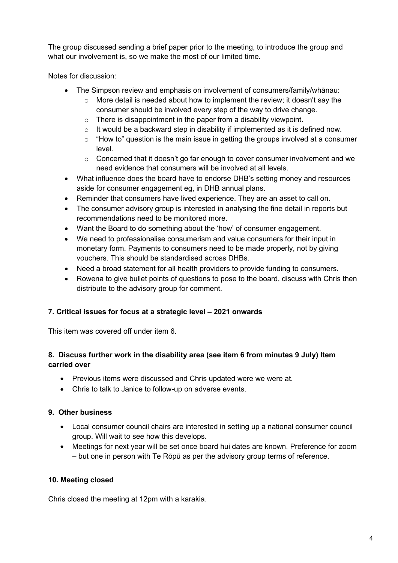The group discussed sending a brief paper prior to the meeting, to introduce the group and what our involvement is, so we make the most of our limited time.

Notes for discussion:

- The Simpson review and emphasis on involvement of consumers/family/whānau:
	- $\circ$  More detail is needed about how to implement the review; it doesn't say the consumer should be involved every step of the way to drive change.
	- $\circ$  There is disappointment in the paper from a disability viewpoint.
	- $\circ$  It would be a backward step in disability if implemented as it is defined now.
	- $\circ$  "How to" question is the main issue in getting the groups involved at a consumer level.
	- $\circ$  Concerned that it doesn't go far enough to cover consumer involvement and we need evidence that consumers will be involved at all levels.
- What influence does the board have to endorse DHB's setting money and resources aside for consumer engagement eg, in DHB annual plans.
- Reminder that consumers have lived experience. They are an asset to call on.
- The consumer advisory group is interested in analysing the fine detail in reports but recommendations need to be monitored more.
- Want the Board to do something about the 'how' of consumer engagement.
- We need to professionalise consumerism and value consumers for their input in monetary form. Payments to consumers need to be made properly, not by giving vouchers. This should be standardised across DHBs.
- Need a broad statement for all health providers to provide funding to consumers.
- Rowena to give bullet points of questions to pose to the board, discuss with Chris then distribute to the advisory group for comment.

### **7. Critical issues for focus at a strategic level – 2021 onwards**

This item was covered off under item 6.

### **8. Discuss further work in the disability area (see item 6 from minutes 9 July) Item carried over**

- Previous items were discussed and Chris updated were we were at.
- Chris to talk to Janice to follow-up on adverse events.

### **9. Other business**

- Local consumer council chairs are interested in setting up a national consumer council group. Will wait to see how this develops.
- Meetings for next year will be set once board hui dates are known. Preference for zoom – but one in person with Te Rōpū as per the advisory group terms of reference.

### **10. Meeting closed**

Chris closed the meeting at 12pm with a karakia.